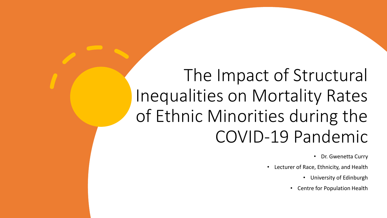# The Impact of Structural Inequalities on Mortality Rates of Ethnic Minorities during the COVID-19 Pandemic

• Dr. Gwenetta Curry

- Lecturer of Race, Ethnicity, and Health
	- University of Edinburgh
	- Centre for Population Health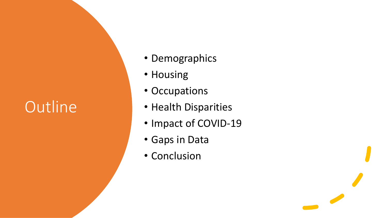# **Outline**

- Demographics
- Housing
- Occupations
- Health Disparities
- Impact of COVID-19
- Gaps in Data
- Conclusion

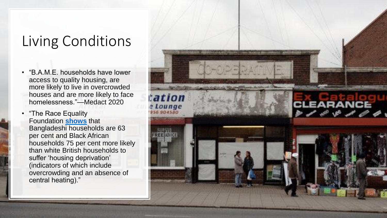#### Living Conditions

- "B.A.M.E. households have lower access to quality housing, are more likely to live in overcrowded houses and are more likely to face homelessness."—Medact 2020
- "The Race Equality Foundation **[shows](http://www.better-housing.org.uk/sites/default/files/briefings/downloads/Housing%20Briefing%2026.pdf)** that Bangladeshi households are 63 per cent and Black African households 75 per cent more likely than white British households to suffer 'housing deprivation' (indicators of which include overcrowding and an absence of central heating)."

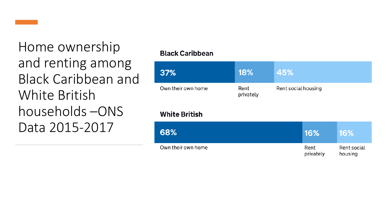

Home ownership and renting among Black Caribbean and White British households –ONS Data 2015-2017

#### **Black Caribbean**

| 37%                | <b>18%</b>        | 45%                 |
|--------------------|-------------------|---------------------|
| Own their own home | Rent<br>privately | Rent social housing |

#### **White British**

| 68%                | 16%               | <b>16%</b>             |
|--------------------|-------------------|------------------------|
| Own their own home | Rent<br>privately | Rent social<br>housing |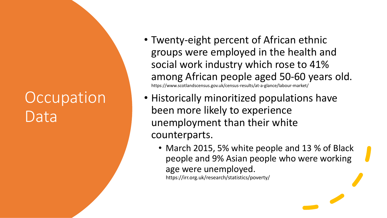### **Occupation** Data

- Twenty-eight percent of African ethnic groups were employed in the health and social work industry which rose to 41% among African people aged 50-60 years old. https://www.scotlandscensus.gov.uk/census-results/at-a-glance/labour-market/
- Historically minoritized populations have been more likely to experience unemployment than their white counterparts.
	- March 2015, 5% white people and 13 % of Black people and 9% Asian people who were working age were unemployed.

https://irr.org.uk/research/statistics/poverty/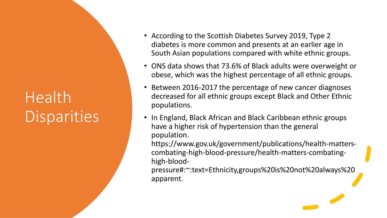# Health **Disparities**

- According to the Scottish Diabetes Survey 2019, Type 2 diabetes is more common and presents at an earlier age in South Asian populations compared with white ethnic groups.
- ONS data shows that 73.6% of Black adults were overweight or obese, which was the highest percentage of all ethnic groups.
- Between 2016-2017 the percentage of new cancer diagnoses decreased for all ethnic groups except Black and Other Ethnic populations.
- In England, Black African and Black Caribbean ethnic groups have a higher risk of hypertension than the general population.

https://www.gov.uk/government/publications/health-matterscombating-high-blood-pressure/health-matters-combatinghigh-blood-

pressure#:~:text=Ethnicity,groups%20is%20not%20always%20 apparent.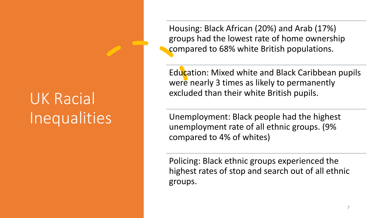## UK Racial Inequalities

Housing: Black African (20%) and Arab (17%) groups had the lowest rate of home ownership compared to 68% white British populations.

Education: Mixed white and Black Caribbean pupils were nearly 3 times as likely to permanently excluded than their white British pupils.

Unemployment: Black people had the highest unemployment rate of all ethnic groups. (9% compared to 4% of whites)

Policing: Black ethnic groups experienced the highest rates of stop and search out of all ethnic groups.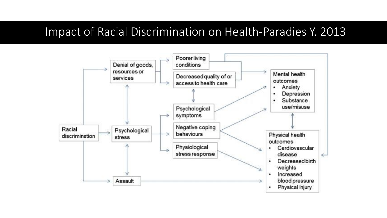#### Impact of Racial Discrimination on Health-Paradies Y. 2013

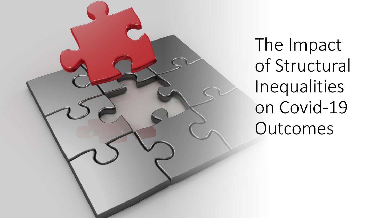

The Impact of Structural Inequalities on Covid-19 Outcomes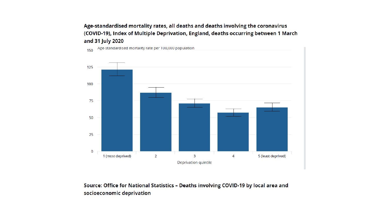#### Age-standardised mortality rates, all deaths and deaths involving the coronavirus (COVID-19), Index of Multiple Deprivation, England, deaths occurring between 1 March and 31 July 2020



Source: Office for National Statistics - Deaths involving COVID-19 by local area and socioeconomic deprivation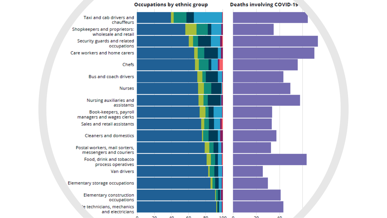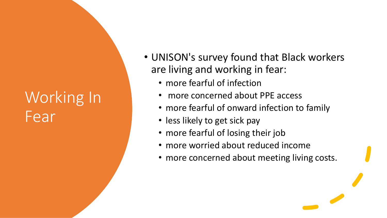## Working In Fear

- UNISON's survey found that Black workers are living and working in fear:
	- more fearful of infection
	- more concerned about PPE access
	- more fearful of onward infection to family
	- less likely to get sick pay
	- more fearful of losing their job
	- more worried about reduced income
	- more concerned about meeting living costs.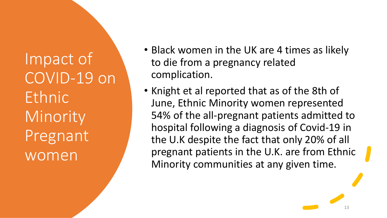Impact of COVID-19 on **Ethnic** Minority Pregnant women

- Black women in the UK are 4 times as likely to die from a pregnancy related complication.
- Knight et al reported that as of the 8th of June, Ethnic Minority women represented 54% of the all-pregnant patients admitted to hospital following a diagnosis of Covid-19 in the U.K despite the fact that only 20% of all pregnant patients in the U.K. are from Ethnic Minority communities at any given time.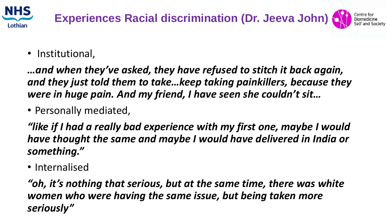

• Institutional,

*…and when they've asked, they have refused to stitch it back again, and they just told them to take…keep taking painkillers, because they were in huge pain. And my friend, I have seen she couldn't sit…*

• Personally mediated,

*"like if I had a really bad experience with my first one, maybe I would have thought the same and maybe I would have delivered in India or something."*

• Internalised

*"oh, it's nothing that serious, but at the same time, there was white women who were having the same issue, but being taken more seriously"*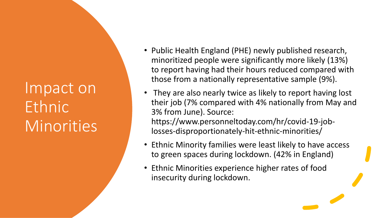Impact on Ethnic Minorities

- Public Health England (PHE) newly published research, minoritized people were significantly more likely (13%) to report having had their hours reduced compared with those from a nationally representative sample (9%).
- They are also nearly twice as likely to report having lost their job (7% compared with 4% nationally from May and 3% from June). Source: https://www.personneltoday.com/hr/covid-19-joblosses-disproportionately-hit-ethnic-minorities/
- Ethnic Minority families were least likely to have access to green spaces during lockdown. (42% in England)
- Ethnic Minorities experience higher rates of food insecurity during lockdown.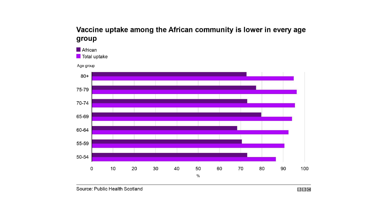#### Vaccine uptake among the African community is lower in every age group



 $B$  $B$  $C$